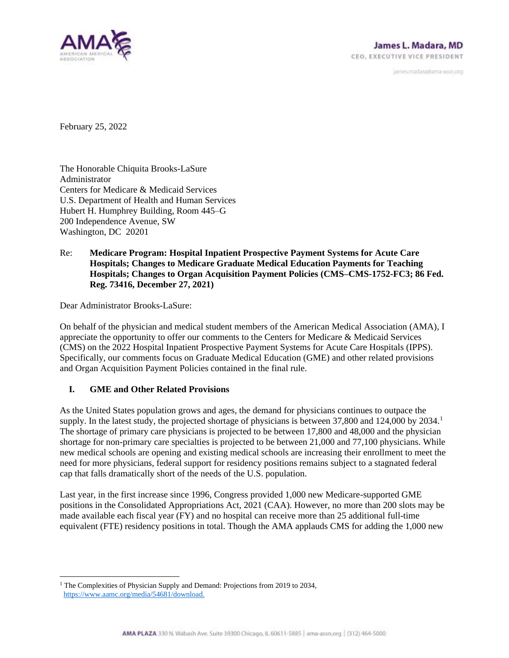

janves.madara@ama-assn.org

February 25, 2022

The Honorable Chiquita Brooks-LaSure Administrator Centers for Medicare & Medicaid Services U.S. Department of Health and Human Services Hubert H. Humphrey Building, Room 445–G 200 Independence Avenue, SW Washington, DC 20201

## Re: **Medicare Program: Hospital Inpatient Prospective Payment Systems for Acute Care Hospitals; Changes to Medicare Graduate Medical Education Payments for Teaching Hospitals; Changes to Organ Acquisition Payment Policies (CMS–CMS-1752-FC3; 86 Fed. Reg. 73416, December 27, 2021)**

Dear Administrator Brooks-LaSure:

On behalf of the physician and medical student members of the American Medical Association (AMA), I appreciate the opportunity to offer our comments to the Centers for Medicare & Medicaid Services (CMS) on the 2022 Hospital Inpatient Prospective Payment Systems for Acute Care Hospitals (IPPS). Specifically, our comments focus on Graduate Medical Education (GME) and other related provisions and Organ Acquisition Payment Policies contained in the final rule.

## **I. GME and Other Related Provisions**

As the United States population grows and ages, the demand for physicians continues to outpace the supply. In the latest study, the projected shortage of physicians is between  $37,800$  and  $124,000$  by  $2034<sup>1</sup>$ The shortage of primary care physicians is projected to be between 17,800 and 48,000 and the physician shortage for non-primary care specialties is projected to be between 21,000 and 77,100 physicians. While new medical schools are opening and existing medical schools are increasing their enrollment to meet the need for more physicians, federal support for residency positions remains subject to a stagnated federal cap that falls dramatically short of the needs of the U.S. population.

Last year, in the first increase since 1996, Congress provided 1,000 new Medicare-supported GME positions in the Consolidated Appropriations Act, 2021 (CAA). However, no more than 200 slots may be made available each fiscal year (FY) and no hospital can receive more than 25 additional full-time equivalent (FTE) residency positions in total. Though the AMA applauds CMS for adding the 1,000 new

<sup>&</sup>lt;sup>1</sup> The Complexities of Physician Supply and Demand: Projections from 2019 to 2034, [https://www.aamc.org/media/54681/download.](https://www.aamc.org/media/54681/download)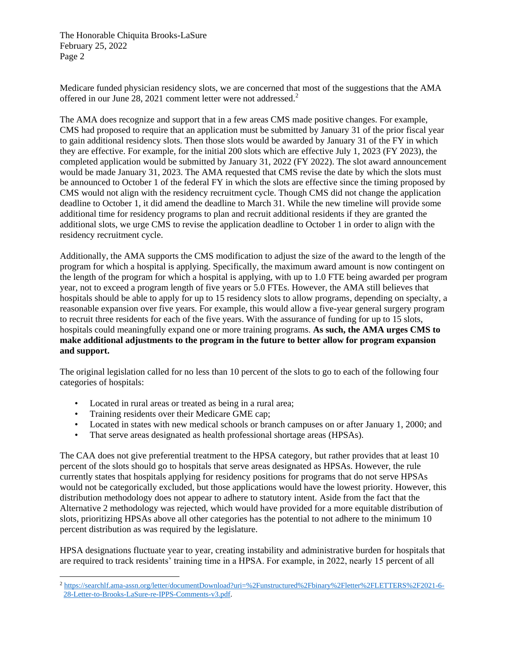The Honorable Chiquita Brooks-LaSure February 25, 2022 Page 2

Medicare funded physician residency slots, we are concerned that most of the suggestions that the AMA offered in our June 28, 2021 comment letter were not addressed.<sup>2</sup>

The AMA does recognize and support that in a few areas CMS made positive changes. For example, CMS had proposed to require that an application must be submitted by January 31 of the prior fiscal year to gain additional residency slots. Then those slots would be awarded by January 31 of the FY in which they are effective. For example, for the initial 200 slots which are effective July 1, 2023 (FY 2023), the completed application would be submitted by January 31, 2022 (FY 2022). The slot award announcement would be made January 31, 2023. The AMA requested that CMS revise the date by which the slots must be announced to October 1 of the federal FY in which the slots are effective since the timing proposed by CMS would not align with the residency recruitment cycle. Though CMS did not change the application deadline to October 1, it did amend the deadline to March 31. While the new timeline will provide some additional time for residency programs to plan and recruit additional residents if they are granted the additional slots, we urge CMS to revise the application deadline to October 1 in order to align with the residency recruitment cycle.

Additionally, the AMA supports the CMS modification to adjust the size of the award to the length of the program for which a hospital is applying. Specifically, the maximum award amount is now contingent on the length of the program for which a hospital is applying, with up to 1.0 FTE being awarded per program year, not to exceed a program length of five years or 5.0 FTEs. However, the AMA still believes that hospitals should be able to apply for up to 15 residency slots to allow programs, depending on specialty, a reasonable expansion over five years. For example, this would allow a five-year general surgery program to recruit three residents for each of the five years. With the assurance of funding for up to 15 slots, hospitals could meaningfully expand one or more training programs. **As such, the AMA urges CMS to make additional adjustments to the program in the future to better allow for program expansion and support.** 

The original legislation called for no less than 10 percent of the slots to go to each of the following four categories of hospitals:

- Located in rural areas or treated as being in a rural area;
- Training residents over their Medicare GME cap;
- Located in states with new medical schools or branch campuses on or after January 1, 2000; and
- That serve areas designated as health professional shortage areas (HPSAs).

The CAA does not give preferential treatment to the HPSA category, but rather provides that at least 10 percent of the slots should go to hospitals that serve areas designated as HPSAs. However, the rule currently states that hospitals applying for residency positions for programs that do not serve HPSAs would not be categorically excluded, but those applications would have the lowest priority. However, this distribution methodology does not appear to adhere to statutory intent. Aside from the fact that the Alternative 2 methodology was rejected, which would have provided for a more equitable distribution of slots, prioritizing HPSAs above all other categories has the potential to not adhere to the minimum 10 percent distribution as was required by the legislature.

HPSA designations fluctuate year to year, creating instability and administrative burden for hospitals that are required to track residents' training time in a HPSA. For example, in 2022, nearly 15 percent of all

<sup>2</sup> [https://searchlf.ama-assn.org/letter/documentDownload?uri=%2Funstructured%2Fbinary%2Fletter%2FLETTERS%2F2021-6-](https://searchlf.ama-assn.org/letter/documentDownload?uri=%2Funstructured%2Fbinary%2Fletter%2FLETTERS%2F2021-6-28-Letter-to-Brooks-LaSure-re-IPPS-Comments-v3.pdf) [28-Letter-to-Brooks-LaSure-re-IPPS-Comments-v3.pdf.](https://searchlf.ama-assn.org/letter/documentDownload?uri=%2Funstructured%2Fbinary%2Fletter%2FLETTERS%2F2021-6-28-Letter-to-Brooks-LaSure-re-IPPS-Comments-v3.pdf)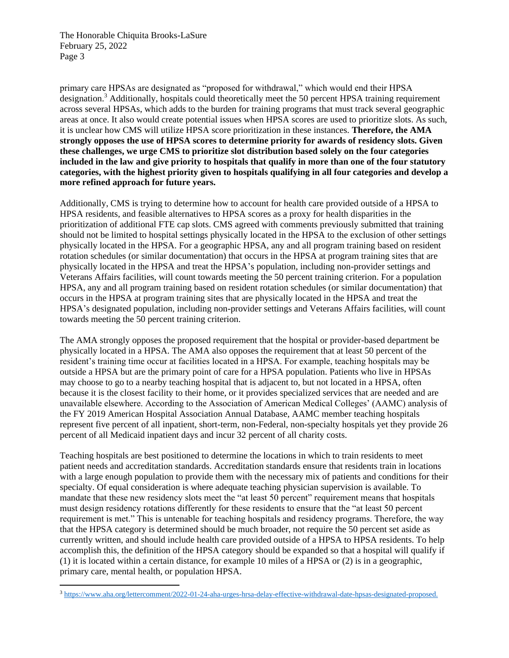The Honorable Chiquita Brooks-LaSure February 25, 2022 Page 3

primary care HPSAs are designated as "proposed for withdrawal," which would end their HPSA designation.<sup>3</sup> Additionally, hospitals could theoretically meet the 50 percent HPSA training requirement across several HPSAs, which adds to the burden for training programs that must track several geographic areas at once. It also would create potential issues when HPSA scores are used to prioritize slots. As such, it is unclear how CMS will utilize HPSA score prioritization in these instances. **Therefore, the AMA strongly opposes the use of HPSA scores to determine priority for awards of residency slots. Given these challenges, we urge CMS to prioritize slot distribution based solely on the four categories included in the law and give priority to hospitals that qualify in more than one of the four statutory categories, with the highest priority given to hospitals qualifying in all four categories and develop a more refined approach for future years.**

Additionally, CMS is trying to determine how to account for health care provided outside of a HPSA to HPSA residents, and feasible alternatives to HPSA scores as a proxy for health disparities in the prioritization of additional FTE cap slots. CMS agreed with comments previously submitted that training should not be limited to hospital settings physically located in the HPSA to the exclusion of other settings physically located in the HPSA. For a geographic HPSA, any and all program training based on resident rotation schedules (or similar documentation) that occurs in the HPSA at program training sites that are physically located in the HPSA and treat the HPSA's population, including non-provider settings and Veterans Affairs facilities, will count towards meeting the 50 percent training criterion. For a population HPSA, any and all program training based on resident rotation schedules (or similar documentation) that occurs in the HPSA at program training sites that are physically located in the HPSA and treat the HPSA's designated population, including non-provider settings and Veterans Affairs facilities, will count towards meeting the 50 percent training criterion.

The AMA strongly opposes the proposed requirement that the hospital or provider-based department be physically located in a HPSA. The AMA also opposes the requirement that at least 50 percent of the resident's training time occur at facilities located in a HPSA. For example, teaching hospitals may be outside a HPSA but are the primary point of care for a HPSA population. Patients who live in HPSAs may choose to go to a nearby teaching hospital that is adjacent to, but not located in a HPSA, often because it is the closest facility to their home, or it provides specialized services that are needed and are unavailable elsewhere. According to the Association of American Medical Colleges' (AAMC) analysis of the FY 2019 American Hospital Association Annual Database, AAMC member teaching hospitals represent five percent of all inpatient, short-term, non-Federal, non-specialty hospitals yet they provide 26 percent of all Medicaid inpatient days and incur 32 percent of all charity costs.

Teaching hospitals are best positioned to determine the locations in which to train residents to meet patient needs and accreditation standards. Accreditation standards ensure that residents train in locations with a large enough population to provide them with the necessary mix of patients and conditions for their specialty. Of equal consideration is where adequate teaching physician supervision is available. To mandate that these new residency slots meet the "at least 50 percent" requirement means that hospitals must design residency rotations differently for these residents to ensure that the "at least 50 percent requirement is met." This is untenable for teaching hospitals and residency programs. Therefore, the way that the HPSA category is determined should be much broader, not require the 50 percent set aside as currently written, and should include health care provided outside of a HPSA to HPSA residents. To help accomplish this, the definition of the HPSA category should be expanded so that a hospital will qualify if (1) it is located within a certain distance, for example 10 miles of a HPSA or (2) is in a geographic, primary care, mental health, or population HPSA.

<sup>3</sup> [https://www.aha.org/lettercomment/2022-01-24-aha-urges-hrsa-delay-effective-withdrawal-date-hpsas-designated-proposed.](https://www.aha.org/lettercomment/2022-01-24-aha-urges-hrsa-delay-effective-withdrawal-date-hpsas-designated-proposed)